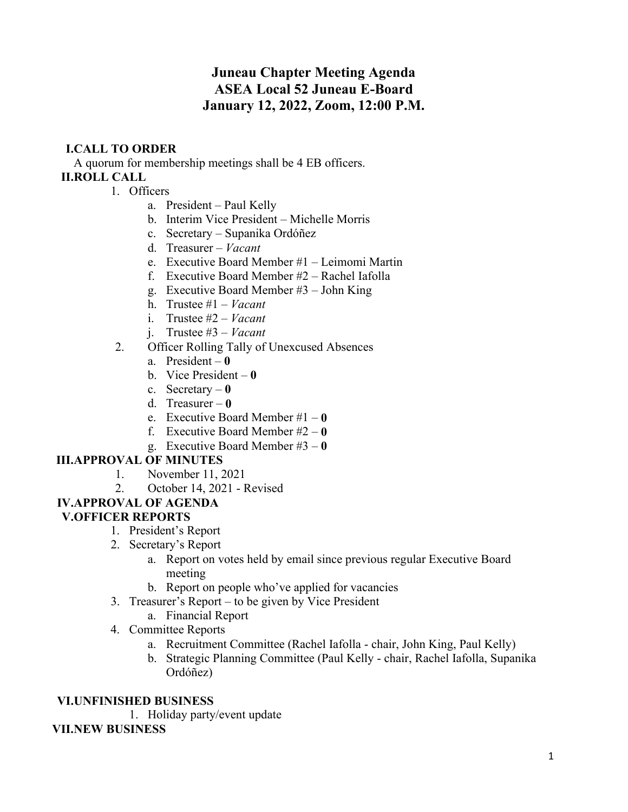# **Juneau Chapter Meeting Agenda ASEA Local 52 Juneau E-Board January 12, 2022, Zoom, 12:00 P.M.**

# **I.CALL TO ORDER**

A quorum for membership meetings shall be 4 EB officers. **II.ROLL CALL**

- 1. Officers
	- a. President Paul Kelly
	- b. Interim Vice President Michelle Morris
	- c. Secretary Supanika Ordóñez
	- d. Treasurer *Vacant*
	- e. Executive Board Member #1 Leimomi Martin
	- f. Executive Board Member #2 Rachel Iafolla
	- g. Executive Board Member #3 John King
	- h. Trustee #1 *Vacant*
	- i. Trustee #2 *Vacant*
	- j. Trustee #3 *Vacant*
- 2. Officer Rolling Tally of Unexcused Absences
	- a. President **0**
	- b. Vice President **0**
	- c. Secretary **0**
	- d. Treasurer **0**
	- e. Executive Board Member #1 **0**
	- f. Executive Board Member #2 **0**
	- g. Executive Board Member #3 **0**

## **III.APPROVAL OF MINUTES**

- 1. November 11, 2021
- 2. October 14, 2021 Revised

# **IV.APPROVAL OF AGENDA**

# **V.OFFICER REPORTS**

- 1. President's Report
- 2. Secretary's Report
	- a. Report on votes held by email since previous regular Executive Board meeting
	- b. Report on people who've applied for vacancies
- 3. Treasurer's Report to be given by Vice President
	- a. Financial Report
- 4. Committee Reports
	- a. Recruitment Committee (Rachel Iafolla chair, John King, Paul Kelly)
	- b. Strategic Planning Committee (Paul Kelly chair, Rachel Iafolla, Supanika Ordóñez)

#### **VI.UNFINISHED BUSINESS**

1. Holiday party/event update

#### **VII.NEW BUSINESS**